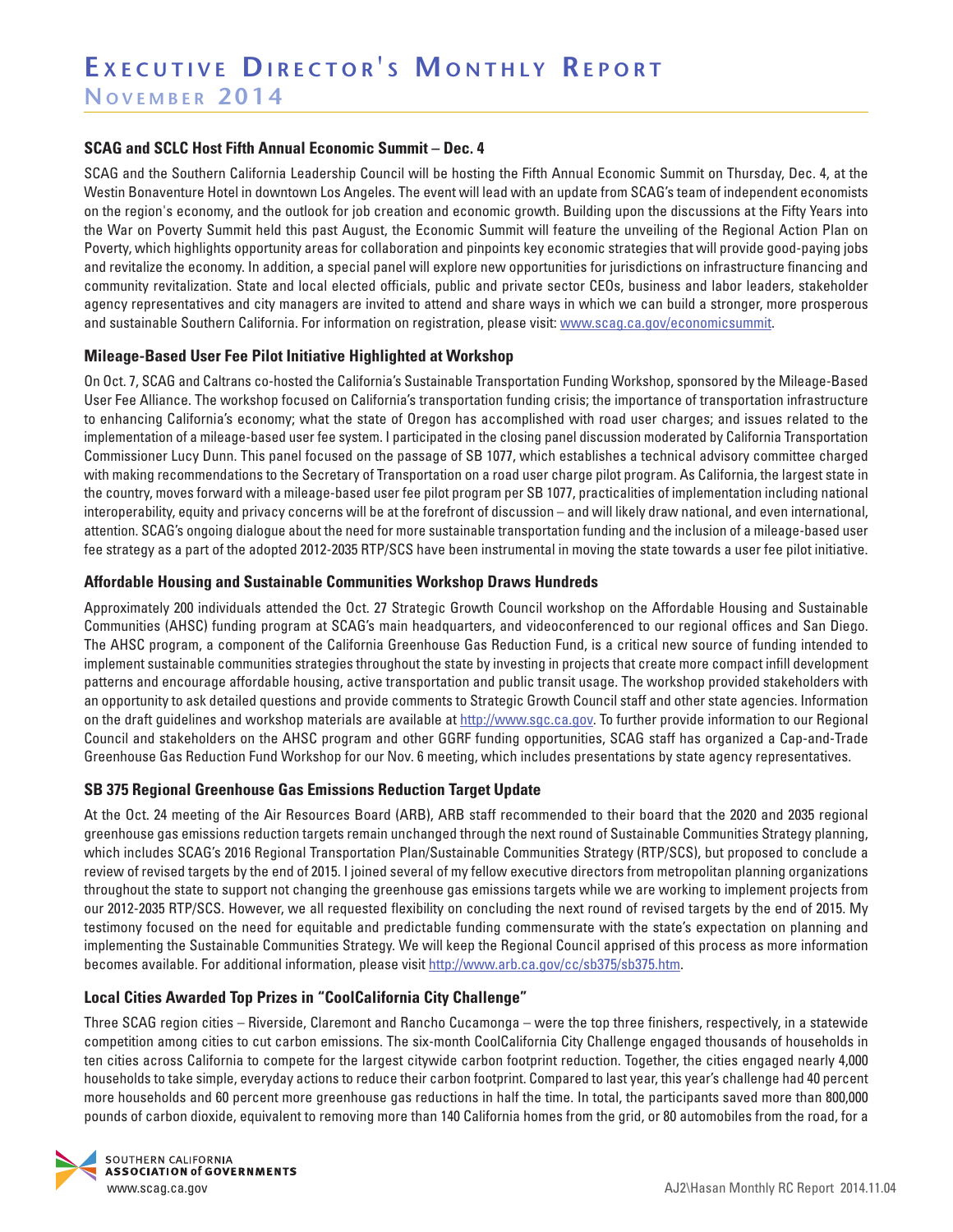### **SCAG and SCLC Host Fifth Annual Economic Summit – Dec. 4**

SCAG and the Southern California Leadership Council will be hosting the Fifth Annual Economic Summit on Thursday, Dec. 4, at the Westin Bonaventure Hotel in downtown Los Angeles. The event will lead with an update from SCAG's team of independent economists on the region's economy, and the outlook for job creation and economic growth. Building upon the discussions at the Fifty Years into the War on Poverty Summit held this past August, the Economic Summit will feature the unveiling of the Regional Action Plan on Poverty, which highlights opportunity areas for collaboration and pinpoints key economic strategies that will provide good-paying jobs and revitalize the economy. In addition, a special panel will explore new opportunities for jurisdictions on infrastructure financing and community revitalization. State and local elected officials, public and private sector CEOs, business and labor leaders, stakeholder agency representatives and city managers are invited to attend and share ways in which we can build a stronger, more prosperous and sustainable Southern California. For information on registration, please visit: www.scag.ca.gov/economicsummit.

### **Mileage-Based User Fee Pilot Initiative Highlighted at Workshop**

On Oct. 7, SCAG and Caltrans co-hosted the California's Sustainable Transportation Funding Workshop, sponsored by the Mileage-Based User Fee Alliance. The workshop focused on California's transportation funding crisis; the importance of transportation infrastructure to enhancing California's economy; what the state of Oregon has accomplished with road user charges; and issues related to the implementation of a mileage-based user fee system. I participated in the closing panel discussion moderated by California Transportation Commissioner Lucy Dunn. This panel focused on the passage of SB 1077, which establishes a technical advisory committee charged with making recommendations to the Secretary of Transportation on a road user charge pilot program. As California, the largest state in the country, moves forward with a mileage-based user fee pilot program per SB 1077, practicalities of implementation including national interoperability, equity and privacy concerns will be at the forefront of discussion – and will likely draw national, and even international, attention. SCAG's ongoing dialogue about the need for more sustainable transportation funding and the inclusion of a mileage-based user fee strategy as a part of the adopted 2012-2035 RTP/SCS have been instrumental in moving the state towards a user fee pilot initiative.

### **Affordable Housing and Sustainable Communities Workshop Draws Hundreds**

Approximately 200 individuals attended the Oct. 27 Strategic Growth Council workshop on the Affordable Housing and Sustainable Communities (AHSC) funding program at SCAG's main headquarters, and videoconferenced to our regional offices and San Diego. The AHSC program, a component of the California Greenhouse Gas Reduction Fund, is a critical new source of funding intended to implement sustainable communities strategies throughout the state by investing in projects that create more compact infill development patterns and encourage affordable housing, active transportation and public transit usage. The workshop provided stakeholders with an opportunity to ask detailed questions and provide comments to Strategic Growth Council staff and other state agencies. Information on the draft guidelines and workshop materials are available at http://www.sgc.ca.gov. To further provide information to our Regional Council and stakeholders on the AHSC program and other GGRF funding opportunities, SCAG staff has organized a Cap-and-Trade Greenhouse Gas Reduction Fund Workshop for our Nov. 6 meeting, which includes presentations by state agency representatives.

## **SB 375 Regional Greenhouse Gas Emissions Reduction Target Update**

At the Oct. 24 meeting of the Air Resources Board (ARB), ARB staff recommended to their board that the 2020 and 2035 regional greenhouse gas emissions reduction targets remain unchanged through the next round of Sustainable Communities Strategy planning, which includes SCAG's 2016 Regional Transportation Plan/Sustainable Communities Strategy (RTP/SCS), but proposed to conclude a review of revised targets by the end of 2015. I joined several of my fellow executive directors from metropolitan planning organizations throughout the state to support not changing the greenhouse gas emissions targets while we are working to implement projects from our 2012-2035 RTP/SCS. However, we all requested flexibility on concluding the next round of revised targets by the end of 2015. My testimony focused on the need for equitable and predictable funding commensurate with the state's expectation on planning and implementing the Sustainable Communities Strategy. We will keep the Regional Council apprised of this process as more information becomes available. For additional information, please visit http://www.arb.ca.gov/cc/sb375/sb375.htm.

## **Local Cities Awarded Top Prizes in "CoolCalifornia City Challenge"**

Three SCAG region cities – Riverside, Claremont and Rancho Cucamonga – were the top three finishers, respectively, in a statewide competition among cities to cut carbon emissions. The six-month CoolCalifornia City Challenge engaged thousands of households in ten cities across California to compete for the largest citywide carbon footprint reduction. Together, the cities engaged nearly 4,000 households to take simple, everyday actions to reduce their carbon footprint. Compared to last year, this year's challenge had 40 percent more households and 60 percent more greenhouse gas reductions in half the time. In total, the participants saved more than 800,000 pounds of carbon dioxide, equivalent to removing more than 140 California homes from the grid, or 80 automobiles from the road, for a

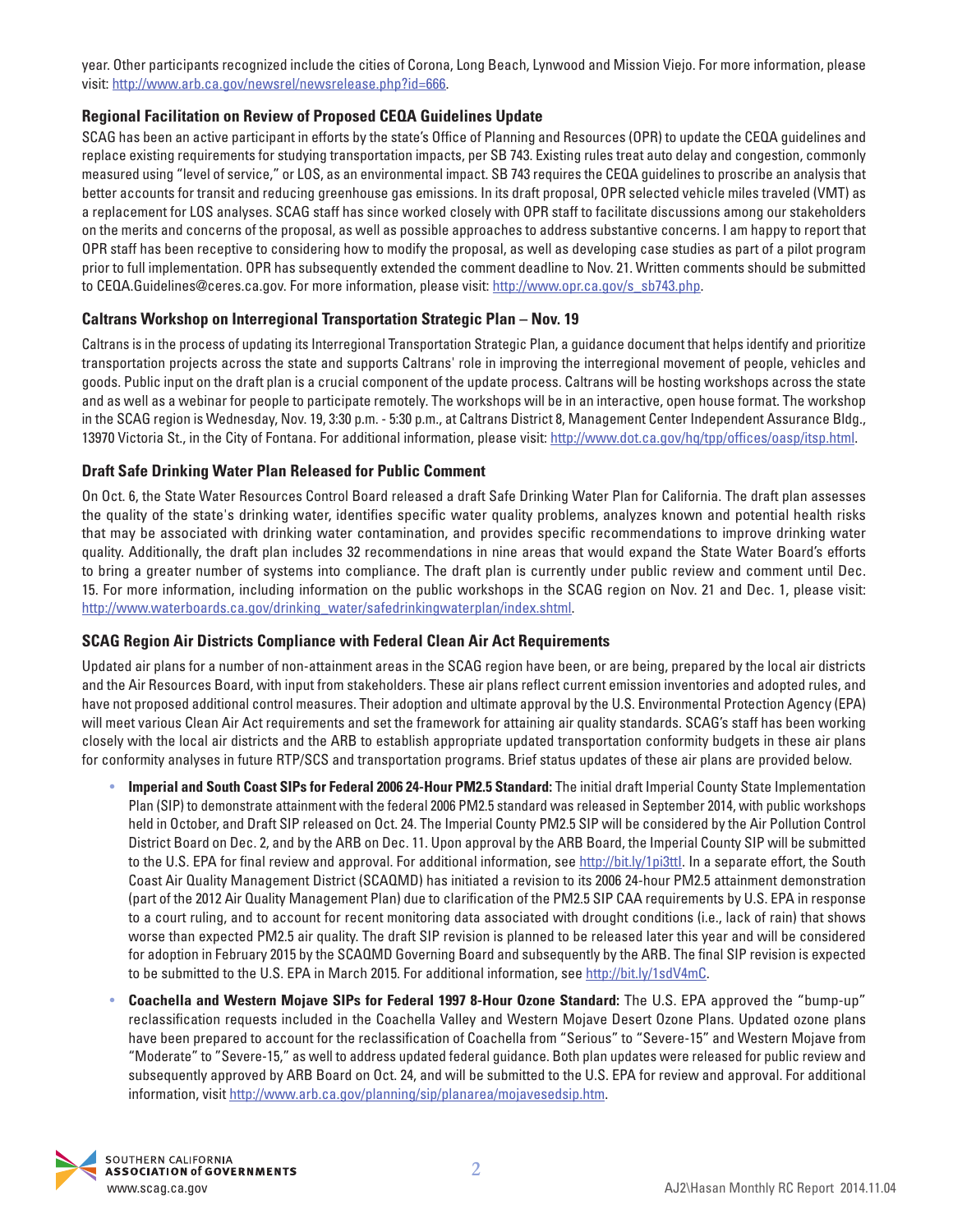year. Other participants recognized include the cities of Corona, Long Beach, Lynwood and Mission Viejo. For more information, please visit: http://www.arb.ca.gov/newsrel/newsrelease.php?id=666.

## **Regional Facilitation on Review of Proposed CEQA Guidelines Update**

SCAG has been an active participant in efforts by the state's Office of Planning and Resources (OPR) to update the CEQA guidelines and replace existing requirements for studying transportation impacts, per SB 743. Existing rules treat auto delay and congestion, commonly measured using "level of service," or LOS, as an environmental impact. SB 743 requires the CEQA guidelines to proscribe an analysis that better accounts for transit and reducing greenhouse gas emissions. In its draft proposal, OPR selected vehicle miles traveled (VMT) as a replacement for LOS analyses. SCAG staff has since worked closely with OPR staff to facilitate discussions among our stakeholders on the merits and concerns of the proposal, as well as possible approaches to address substantive concerns. I am happy to report that OPR staff has been receptive to considering how to modify the proposal, as well as developing case studies as part of a pilot program prior to full implementation. OPR has subsequently extended the comment deadline to Nov. 21. Written comments should be submitted to CEQA.Guidelines@ceres.ca.gov. For more information, please visit: http://www.opr.ca.gov/s\_sb743.php.

## **Caltrans Workshop on Interregional Transportation Strategic Plan – Nov. 19**

Caltrans is in the process of updating its Interregional Transportation Strategic Plan, a guidance document that helps identify and prioritize transportation projects across the state and supports Caltrans' role in improving the interregional movement of people, vehicles and goods. Public input on the draft plan is a crucial component of the update process. Caltrans will be hosting workshops across the state and as well as a webinar for people to participate remotely. The workshops will be in an interactive, open house format. The workshop in the SCAG region is Wednesday, Nov. 19, 3:30 p.m. - 5:30 p.m., at Caltrans District 8, Management Center Independent Assurance Bldg., 13970 Victoria St., in the City of Fontana. For additional information, please visit: http://www.dot.ca.gov/hq/tpp/offices/oasp/itsp.html.

## **Draft Safe Drinking Water Plan Released for Public Comment**

On Oct. 6, the State Water Resources Control Board released a draft Safe Drinking Water Plan for California. The draft plan assesses the quality of the state's drinking water, identifies specific water quality problems, analyzes known and potential health risks that may be associated with drinking water contamination, and provides specific recommendations to improve drinking water quality. Additionally, the draft plan includes 32 recommendations in nine areas that would expand the State Water Board's efforts to bring a greater number of systems into compliance. The draft plan is currently under public review and comment until Dec. 15. For more information, including information on the public workshops in the SCAG region on Nov. 21 and Dec. 1, please visit: http://www.waterboards.ca.gov/drinking\_water/safedrinkingwaterplan/index.shtml.

## **SCAG Region Air Districts Compliance with Federal Clean Air Act Requirements**

Updated air plans for a number of non-attainment areas in the SCAG region have been, or are being, prepared by the local air districts and the Air Resources Board, with input from stakeholders. These air plans reflect current emission inventories and adopted rules, and have not proposed additional control measures. Their adoption and ultimate approval by the U.S. Environmental Protection Agency (EPA) will meet various Clean Air Act requirements and set the framework for attaining air quality standards. SCAG's staff has been working closely with the local air districts and the ARB to establish appropriate updated transportation conformity budgets in these air plans for conformity analyses in future RTP/SCS and transportation programs. Brief status updates of these air plans are provided below.

- **Imperial and South Coast SIPs for Federal 2006 24-Hour PM2.5 Standard:** The initial draft Imperial County State Implementation Plan (SIP) to demonstrate attainment with the federal 2006 PM2.5 standard was released in September 2014, with public workshops held in October, and Draft SIP released on Oct. 24. The Imperial County PM2.5 SIP will be considered by the Air Pollution Control District Board on Dec. 2, and by the ARB on Dec. 11. Upon approval by the ARB Board, the Imperial County SIP will be submitted to the U.S. EPA for final review and approval. For additional information, see http://bit.ly/1pi3ttl. In a separate effort, the South Coast Air Quality Management District (SCAQMD) has initiated a revision to its 2006 24-hour PM2.5 attainment demonstration (part of the 2012 Air Quality Management Plan) due to clarification of the PM2.5 SIP CAA requirements by U.S. EPA in response to a court ruling, and to account for recent monitoring data associated with drought conditions (i.e., lack of rain) that shows worse than expected PM2.5 air quality. The draft SIP revision is planned to be released later this year and will be considered for adoption in February 2015 by the SCAQMD Governing Board and subsequently by the ARB. The final SIP revision is expected to be submitted to the U.S. EPA in March 2015. For additional information, see http://bit.ly/1sdV4mC.
- **Coachella and Western Mojave SIPs for Federal 1997 8-Hour Ozone Standard:** The U.S. EPA approved the "bump-up" reclassification requests included in the Coachella Valley and Western Mojave Desert Ozone Plans. Updated ozone plans have been prepared to account for the reclassification of Coachella from "Serious" to "Severe-15" and Western Mojave from "Moderate" to "Severe-15," as well to address updated federal guidance. Both plan updates were released for public review and subsequently approved by ARB Board on Oct. 24, and will be submitted to the U.S. EPA for review and approval. For additional information, visit http://www.arb.ca.gov/planning/sip/planarea/mojavesedsip.htm.